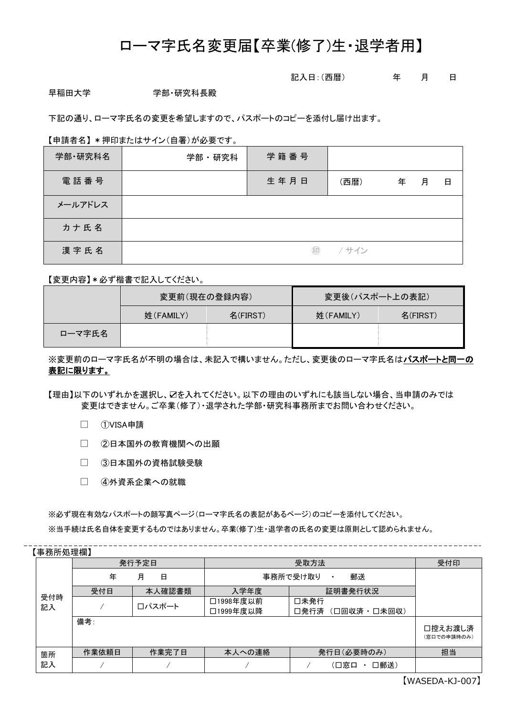# ローマ字氏名変更届【卒業(修了)生・退学者用】

### 記入日:(西暦) 年 月 日

早稲田大学 きゅうしゃ 学部・研究科長殿

下記の通り、ローマ字氏名の変更を希望しますので、パスポートのコピーを添付し届け出ます。

#### 【申請者名】 \*押印またはサイン(自署)が必要です。

| 学部·研究科名 | 学部・研究科 | 学籍番号 |       |   |   |   |
|---------|--------|------|-------|---|---|---|
| 電話番号    |        | 生年月日 | (西暦)  | 年 | 月 | 日 |
| メールアドレス |        |      |       |   |   |   |
| カナ氏名    |        |      |       |   |   |   |
| 漢字氏名    |        | (印)  | / サイン |   |   |   |

【変更内容】\*必ず楷書で記入してください。

|        | 変更前(現在の登録内容) |          | 変更後(パスポート上の表記) |          |  |
|--------|--------------|----------|----------------|----------|--|
|        | 姓(FAMILY)    | 名(FIRST) | 姓(FAMILY)      | 名(FIRST) |  |
| 口ーマ字氏名 |              |          |                |          |  |

※変更前のローマ字氏名が不明の場合は、未記入で構いません。ただし、変更後のローマ字氏名はパスポートと同一の 表記に限ります。

【理由】以下のいずれかを選択し、☑を入れてください。以下の理由のいずれにも該当しない場合、当申請のみでは 変更はできません。ご卒業(修了)・退学された学部・研究科事務所までお問い合わせください。

□ ①VISA申請

□ ②日本国外の教育機関への出願

- □ 3日本国外の資格試験受験
- □ 4外資系企業への就職

※必ず現在有効なパスポートの顔写真ページ(ローマ字氏名の表記があるページ)のコピーを添付してください。

※当手続は氏名自体を変更するものではありません。卒業(修了)生・退学者の氏名の変更は原則として認められません。

【事務所処理欄】

|     | ◣┯╗╜╵┙╱╾╼╢╝┛ |        |                             |                  |                        |  |  |
|-----|--------------|--------|-----------------------------|------------------|------------------------|--|--|
|     | 発行予定日        |        | 受取方法                        |                  | 受付印                    |  |  |
|     | 年<br>月<br>日  |        | 郵送<br>事務所で受け取り<br>$\bullet$ |                  |                        |  |  |
|     | 受付日          | 本人確認書類 | 入学年度                        | 証明書発行状況          |                        |  |  |
| 受付時 |              | ロパスポート | □1998年度以前                   | 口未発行             |                        |  |  |
| 記入  |              |        | □1999年度以降                   | 口発行済 (口回収済・口未回収) |                        |  |  |
|     | 備考:          |        |                             |                  | 口控えお渡し済<br>(窓口での申請時のみ) |  |  |
| 箇所  | 作業依頼日        | 作業完了日  | 本人への連絡                      | 発行日(必要時のみ)       | 担当                     |  |  |
| 記入  |              |        |                             | 口郵送)<br>(口窓口     |                        |  |  |

【WASEDA-KJ-007】